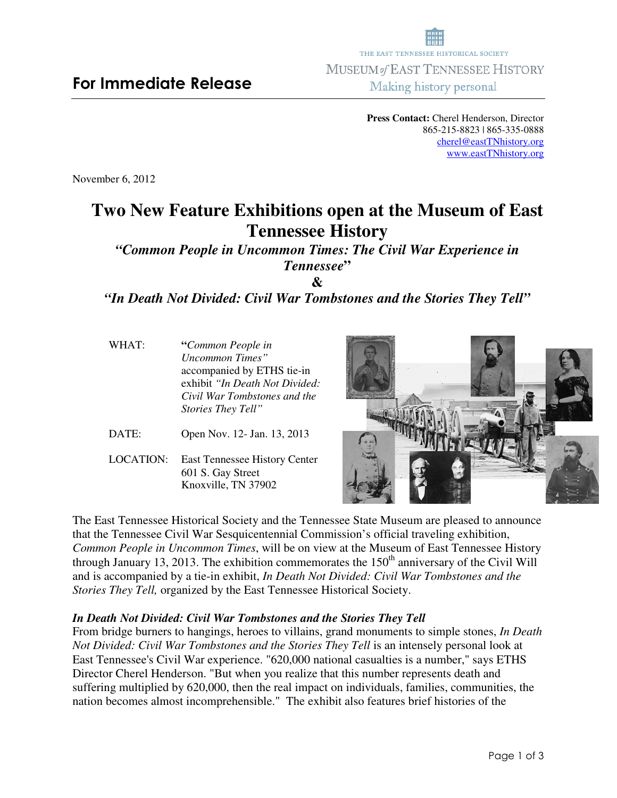**Press Contact:** Cherel Henderson, Director 865-215-8823 | 865-335-0888 cherel@eastTNhistory.org www.eastTNhistory.org

November 6, 2012

# **Two New Feature Exhibitions open at the Museum of East Tennessee History**

*"Common People in Uncommon Times: The Civil War Experience in Tennessee***"** 

**&** 

*"In Death Not Divided: Civil War Tombstones and the Stories They Tell"* 

| WHAT: | "Common People in              |
|-------|--------------------------------|
|       | Uncommon Times"                |
|       | accompanied by ETHS tie-in     |
|       | exhibit "In Death Not Divided: |
|       | Civil War Tombstones and the   |
|       | Stories They Tell"             |
|       |                                |
|       |                                |

- DATE: Open Nov. 12- Jan. 13, 2013
- LOCATION: East Tennessee History Center 601 S. Gay Street Knoxville, TN 37902



The East Tennessee Historical Society and the Tennessee State Museum are pleased to announce that the Tennessee Civil War Sesquicentennial Commission's official traveling exhibition, *Common People in Uncommon Times*, will be on view at the Museum of East Tennessee History through January 13, 2013. The exhibition commemorates the  $150<sup>th</sup>$  anniversary of the Civil Will and is accompanied by a tie-in exhibit, *In Death Not Divided: Civil War Tombstones and the Stories They Tell,* organized by the East Tennessee Historical Society.

### *In Death Not Divided: Civil War Tombstones and the Stories They Tell*

From bridge burners to hangings, heroes to villains, grand monuments to simple stones, *In Death Not Divided: Civil War Tombstones and the Stories They Tell* is an intensely personal look at East Tennessee's Civil War experience. "620,000 national casualties is a number," says ETHS Director Cherel Henderson. "But when you realize that this number represents death and suffering multiplied by 620,000, then the real impact on individuals, families, communities, the nation becomes almost incomprehensible." The exhibit also features brief histories of the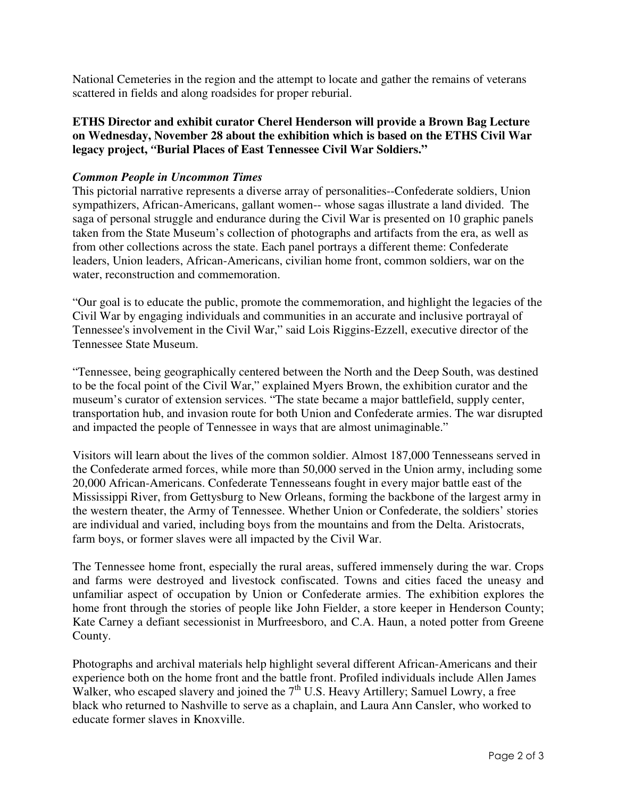National Cemeteries in the region and the attempt to locate and gather the remains of veterans scattered in fields and along roadsides for proper reburial.

# **ETHS Director and exhibit curator Cherel Henderson will provide a Brown Bag Lecture on Wednesday, November 28 about the exhibition which is based on the ETHS Civil War legacy project,** *"***Burial Places of East Tennessee Civil War Soldiers."**

## *Common People in Uncommon Times*

This pictorial narrative represents a diverse array of personalities--Confederate soldiers, Union sympathizers, African-Americans, gallant women-- whose sagas illustrate a land divided. The saga of personal struggle and endurance during the Civil War is presented on 10 graphic panels taken from the State Museum's collection of photographs and artifacts from the era, as well as from other collections across the state. Each panel portrays a different theme: Confederate leaders, Union leaders, African-Americans, civilian home front, common soldiers, war on the water, reconstruction and commemoration.

"Our goal is to educate the public, promote the commemoration, and highlight the legacies of the Civil War by engaging individuals and communities in an accurate and inclusive portrayal of Tennessee's involvement in the Civil War," said Lois Riggins-Ezzell, executive director of the Tennessee State Museum.

"Tennessee, being geographically centered between the North and the Deep South, was destined to be the focal point of the Civil War," explained Myers Brown, the exhibition curator and the museum's curator of extension services. "The state became a major battlefield, supply center, transportation hub, and invasion route for both Union and Confederate armies. The war disrupted and impacted the people of Tennessee in ways that are almost unimaginable."

Visitors will learn about the lives of the common soldier. Almost 187,000 Tennesseans served in the Confederate armed forces, while more than 50,000 served in the Union army, including some 20,000 African-Americans. Confederate Tennesseans fought in every major battle east of the Mississippi River, from Gettysburg to New Orleans, forming the backbone of the largest army in the western theater, the Army of Tennessee. Whether Union or Confederate, the soldiers' stories are individual and varied, including boys from the mountains and from the Delta. Aristocrats, farm boys, or former slaves were all impacted by the Civil War.

The Tennessee home front, especially the rural areas, suffered immensely during the war. Crops and farms were destroyed and livestock confiscated. Towns and cities faced the uneasy and unfamiliar aspect of occupation by Union or Confederate armies. The exhibition explores the home front through the stories of people like John Fielder, a store keeper in Henderson County; Kate Carney a defiant secessionist in Murfreesboro, and C.A. Haun, a noted potter from Greene County.

Photographs and archival materials help highlight several different African-Americans and their experience both on the home front and the battle front. Profiled individuals include Allen James Walker, who escaped slavery and joined the 7<sup>th</sup> U.S. Heavy Artillery; Samuel Lowry, a free black who returned to Nashville to serve as a chaplain, and Laura Ann Cansler, who worked to educate former slaves in Knoxville.